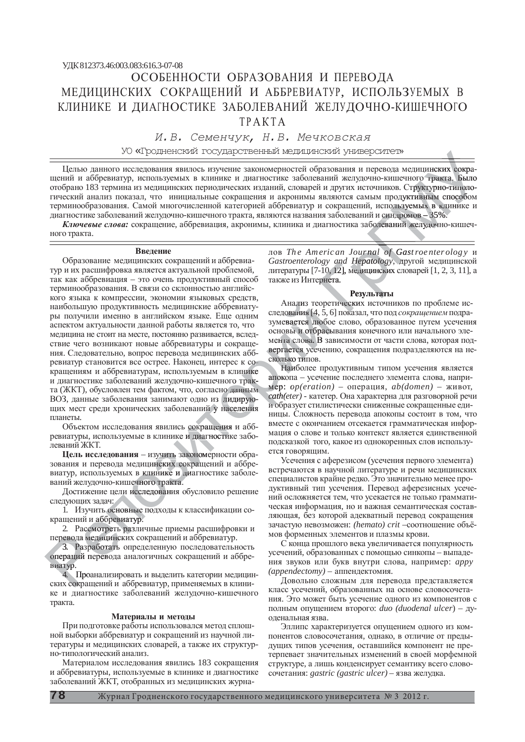*ɂ.ȼ. ɋɟɦɟɧɱɭɤ, ɇ.ȼ. Ɇɟɱɤɨɜɫɤɚɹ*

УО «Гродненский государственный медицинский университет»

Целью данного исследования явилось изучение закономерностей образования и перевода медицинских сокращений и аббревиатур, используемых в клинике и диагностике заболеваний желудочно-кишечного тракта. Было отобрано 183 термина из медицинских периодических изданий, словарей и других источников. Структурно-типологический анализ показал, что инициальные сокращения и акронимы являются самым продуктивным способом терминообразования. Самой многочисленной категорией аббревиатур и сокращений, используемых в клинике и ные ного тракта<br>родуктивным спользуемых в кли<br>плромов – 35%.<br>ний желудочноользуемых в клини **THEREASE CONSERVANCE**<br>TERNA CONSERVANCE CONSERVANCE<br>TERNA CHOCOOOM<br>TERNA CHOCOOOM<br>TERNA CHOCOOO о тракта. Был<br>уктурно-типол<br>вным способо

диагностике заболеваний желудочно-кишечного тракта, являются названия заболеваний и синдромов – 35%.<br>Ключевые слова: сокращение, аббревиация, акронимы, клиника и диагностика заболеваний желудочно Ключевые слова: сокращение, аббревиация, акронимы, клиника и диагностика заболеваний желудочно-кишечного тракта.

### **Введение**

Образование медицинских сокращений и аббревиатур и их расшифровка является актуальной проблемой, так как аббревиация – это очень продуктивный способ терминообразования. В связи со склонностью английского языка к компрессии, экономии языковых средств, наибольшую продуктивность медицинские аббревиатуры получили именно в английском языке. Еще одним аспектом актуальности данной работы является то, что медицина не стоит на месте, постоянно развивается, вследствие чего возникают новые аббревиатуры и сокрашения. Следовательно, вопрос перевода медицинских аббревиатур становится все острее. Наконец, интерес к сокращениям и аббревиатурам, используемым в клинике и диагностике заболеваний желудочно-кишечного тракта (ЖКТ), обусловлен тем фактом, что, согласно данным ВОЗ, данные заболевания занимают одно из лидируюпланеты. чного трак-<br>сно данным<br>3 лидирую-<br>у населения населени

щих мест среди хронических заболеваний у населения<br>планеты.<br>Объектом исследования явились сокращения и абб-<br>ревиатуры, используемые в клинике и диагностике забо-Объектом исследования явились сокращения и абб-Ооъектом исследования явились сокращения и або-<br>ревиатуры, используемые в клинике и диагностике забо-<br>леваний ЖКТ.<br>Цель исследования – изучить закономерности обра-<br>зования и перевода медицинских сокращений и аббрелеваний ЖКТ.

**Цель исследования** – изучить закономерности обрания и перевода медицинских сокращений и аббре-<br>тур, используемых в клинике и диагностике заболе-<br>ий желудочно-кишечного тракта. зования и перевода медицинских сокращений и аббревиатур, используемых в клинике и диагностике заболеваний желудочно-кишечного тракта.<br>Достижение цели исследования обусловило решение<br>следующих задач:<br>1. Изучить основные полхолы к классификации сований желудочно-кишечного тракта.

Достижение цели исследования обусловило решение следующих задач:

1. Изучить основные подходы к классификации сокращений и аббревиатур. ач:<br>основные и<br>бревиатур.<br>реть различ е под

2. Рассмотреть различные приемы расшифровки и перевода медицинских сокращений и аббревиатур. ассмотреть разл

3. Разработать определенную последовательность операций перевода аналогичных сокращений и аббревиатур. перевода мед<br>3. Разраб<br>операций пер<br>виатур.<br>4. Проан<br>ских сокраще перево ий и аббреви<br>'ассмотреть<br>а медицинск<br>'азработать<br>ій перевода

4. Проанализировать и выделить категории медицинских сокращений и аббревиатур, применяемых в клинике и диагностике заболеваний желудочно-кишечного тракта.

## Материалы и методы

При подготовке работы использовался метод сплошной выборки аббревиатур и сокращений из научной литературы и медицинских словарей, а также их структурно-типологический анализ.

Материалом исслелования явились 183 сокрашения и аббревиатуры, используемые в клинике и диагностике заболеваний ЖКТ, отобранных из медицинских журналов The American Journal of Gastroenter ology и Gastroenterology and Hepatology, другой медицинской  $\alpha$ <sub>3</sub> Gastroenterotogy and **Heparotogy**, другои медицинской<br>питературы [7-10, 12], медицинских словарей [1, 2, 3, 11], а<br>также из Интернета.<br>**Результаты**<br>Анализ теоретических источников по проблеме истакже из Интернета. *Journal of G<br>Hepatology, J*<br>медицинских с<br>**Результаты** медицински ий и синдромо<br>аболеваний же<br>*nal of Gastr*<br>*atology*, другс<br>цинских словар<br>льт**ат**ы

# Результаты

Анализ теоретических источников по проблеме исследования [4, 5, 6] показал, что под сокращением подразумевается любое слово, образованное путем усечения основы и отбрасывания конечного или начального элемента слова. В зависимости от части слова, которая подвергается усечению, сокращения подразделяются на несколько типов. мента слов<br>вергается<br>сколько тиі<br>Наибол yce Анализ теоре<br>дования [4, 5, севается ]<br>побо<br>овы и отбраси<br>та слова. В за ования [4, 5, 6] пока

Наиболее продуктивным типом усечения является апокопа – усечение последнего элемента слова, наприк со-<br>**имее Илайболее продуктивным типом усечения является**<br>**прак- апокопа** – усечение последнего элемента слова, напри-<br>**иер:** *op(eration)* – операция, *ab(domen)* – живот, *cath(eter)* - катетер. Она характерна для разговорной речи и образует стилистически сниженные сокращенные единицы. Сложность перевода апокопы состоит в том, что вместе с окончанием отсекается грамматическая информация о слове и только контекст является единственной подсказкой того, какое из однокоренных слов используется говоряним. к со-<br>
к со-<br>
нике Напокоп<br>
грак-<br>
ным мер:<br>
саth(et<br>
добра

> Усечения с аферезисом (усечения первого элемента) встречаются в научной литературе и речи медицинских специалистов крайне редко. Это значительно менее продуктивный тип усечения. Перевод аферезисных усечений осложняется тем, что усекается не только грамматическая информация, но и важная семантическая составляющая, без которой адекватный перевод сокращения зачастую невозможен: (hemato) crit -соотношение объёмов форменных элементов и плазмы крови.

С конца прошлого века увеличивается популярность усечений, образованных с помощью синкопы - выпадения звуков или букв внутри слова, например: арру *(appendectomy)* – аппендектомия.

Довольно сложным для перевода представляется класс усечений, образованных на основе словосочетания. Это может быть усечение одного из компонентов с полным опущением второго: *duo (duodenal ulcer*) – дуоденальная язва.

Эллипс характеризуется опущением одного из компонентов словосочетания, однако, в отличие от предыдущих типов усечения, оставшийся компонент не претерпевает значительных изменений в своей морфемной структуре, а лишь конденсирует семантику всего словосочетания: *gastric (gastric ulcer)* – язва желудка.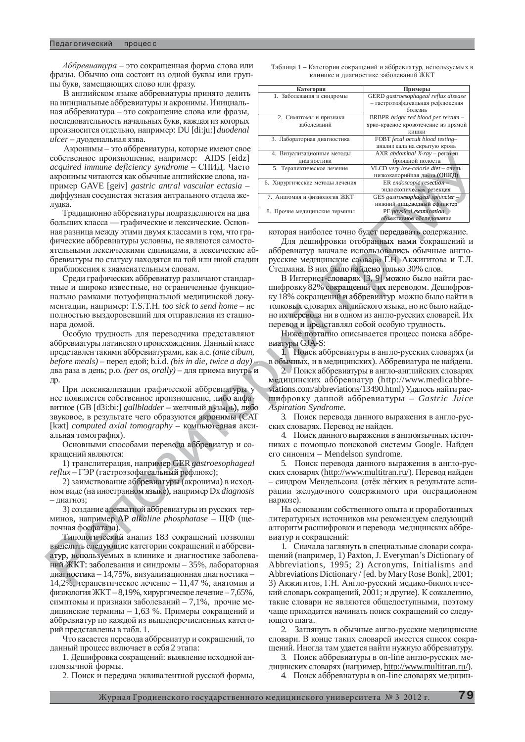*Аббревиатура* – это сокращенная форма слова или фразы. Обычно она состоит из одной буквы или группы букв, замещающих слово или фразу.

В английском языке аббревиатуры принято делить на инициальные аббревиатуры и акронимы. Инициальная аббревиатура – это сокращение слова или фразы, последовательность начальных букв, каждая из которых произносится отдельно, например: DU [di:ju:] duodenal  $ulcer$  – дуоденальная язва.

Акронимы – это аббревиатуры, которые имеют свое собственное произношение, например: AIDS [eidz] *acquired immune deficiency syndrome - СПИД. Часто* акронимы читаются как обычные английские слова, например GAVE [geiv] *gastric antral vascular ectasia* диффузная сосудистая эктазия антрального отдела желудка.

Традиционно аббревиатуры подразделяются на два больших класса — графические и лексические. Основная разница между этими двумя классами в том, что графические аббревиатуры условны, не являются самостоятельными лексическими единицами, а лексические аббревиатуры по статусу находятся на той или иной стадии приближения к знаменательным словам.

Среди графических аббревиатур различают стандартные и широко известные, но ограниченные функционально рамками полуофициальной мелицинской локументации, например: T.S.T.H. *too sick to send home* – не полностью выздоровевший для отправления из стационара домой.

Особую трудность для переводчика представляют аббревиатуры латинского происхождения. Данный класс представлен такими аббревиатурами, как а.с. *(ante cibum, before meals*) – перед едой; b.i.d. *(bis in die, twice a day)* – два раза в день; p.o. *(per os, orally)* – для приема внутрь и др

При лексикализации графической аббревиатуры у<br>появляется собственное произношение, либо алфа-<br>ное (GB [d3i:bi:] *gallbladder* – желчный пузырь), либо<br>ковое, в результате чего образуются акронимы (САТ нее появляется собственное произношение, либо алфавитное (GB [d3i:bi:] *gallbladder* – желчный пузырь), либо<br>звуковое, в результате чего образуются акронимы (CAT<br>[kxt] *computed axial tomography* – компьютерная акси-<br>альная томография). звуковое, в результате чего образуются акронимы (САТ [kxt] *computed axial tomography - компьютерная акси*альная томография).

Основными способами перевода аббревиатур и сокращений являются: *grapny* – компьют<br>перевода аббревь<br>ример GER *gastro* 

1) транслитерация, например GER gastroesophageal *reflux* – ГЭР (гастроэзофагеальный рефлюкс); имер GER<br>альный реф<br>виатуры (ак

2) заимствование аббревиатуры (акронима) в исходном виде (на иностранном языке), например Dx diagnosis  $-$  лиагноз: зофагеальны<br>аббревиату<br>нном языке),<br>атной аббрев

3) создание адекватной аббревиатуры из русских терминов, например AP alkaline phosphatase - ЩФ (щелочная фосфатаза). адекватной<br>sep AP alka<br>aзa).

Типологический анализ 183 сокращений позволил выделить следующие категории сокращений и аббревиатур, используемых в клинике и диагностике заболеваний ЖКТ: заболевания и синдромы - 35%, лабораторная диагностика – 14,75%, визуализационная диагностика – 14,2%, терапевтическое лечение - 11,47 %, анатомия и физиология ЖКТ - 8,19%, хирургическое лечение - 7,65%, симптомы и признаки заболеваний – 7,1%, прочие медицинские термины – 1,63 %. Примеры сокращений и аббревиатур по каждой из вышеперечисленных категорий представлены в табл. 1. Типологи<br>выделить сле<br>атур, использ<br>ний ЖКТ: за<br>диагностика<br>14,2%, терап aгно<mark>сти</mark>к например А<br>фосфатаза)<br>элогический<br>гь следующи<br>пользуемых oлогический

Что касается перевода аббревиатур и сокращений, то данный процесс включает в себя 2 этапа:

1. Дешифровка сокращений: выявление исходной англоязычной формы.

2. Поиск и передача эквивалентной русской формы,

Таблица 1 – Категории сокращений и аббревиатур, используемых в клинике и лиагностике заболеваний ЖКТ

| GERD gastroesophageal reflux disease<br>- гастроэзофагеальная рефлюксная<br>болезнь<br>BRBPR bright red blood per rectum -<br>ярко-красное кровотечение из прямой<br>кишки<br>FOBT fecal occult blood testing-<br>анализ кала на скрытую кровь<br>AXR abdominal X-ray - рентген<br>брюшной полости |
|----------------------------------------------------------------------------------------------------------------------------------------------------------------------------------------------------------------------------------------------------------------------------------------------------|
|                                                                                                                                                                                                                                                                                                    |
|                                                                                                                                                                                                                                                                                                    |
|                                                                                                                                                                                                                                                                                                    |
|                                                                                                                                                                                                                                                                                                    |
|                                                                                                                                                                                                                                                                                                    |
|                                                                                                                                                                                                                                                                                                    |
|                                                                                                                                                                                                                                                                                                    |
|                                                                                                                                                                                                                                                                                                    |
|                                                                                                                                                                                                                                                                                                    |
|                                                                                                                                                                                                                                                                                                    |
| VLCD very low-calorie diet - очень                                                                                                                                                                                                                                                                 |
| низкокалорийная диета (ОНКД)                                                                                                                                                                                                                                                                       |
| $ER$ endoscopic resection $-$                                                                                                                                                                                                                                                                      |
| эндоскопическая резекция                                                                                                                                                                                                                                                                           |
| GES gastroesophageal sphincter -                                                                                                                                                                                                                                                                   |
| нижний пищеводный сфинктер                                                                                                                                                                                                                                                                         |
| $PE$ physical examination $-$                                                                                                                                                                                                                                                                      |
| объективное обследование                                                                                                                                                                                                                                                                           |
| которая наиболее точно будет передавать содержание.<br>$\pi_{\sigma}$ required population of $\sigma$                                                                                                                                                                                              |

Для дешифровки отобранных нами сокращений и аббревиатур вначале использовались обычные англорусские медицинские словари Г.Н. Акжигитова и Т.Л. о найдено толь использовали<br>словари Г.Н.<br>найдено тольк<br>рях [3, 9] мож<br>цений с их пер Γ.Η. A объективное с<br>дет передавать<br>ранных нами<br>ользовались о<br>зари Г.Н. Акж овались о

Русские медицинские словари 1.11, Акжий итов Стедмана. В них было найдено только 30% слов.<br>В Интернет-словарях [3, 9] можно было най шифровку 82% сокращений с их переводом. Деш<br>ку 18% сокращений и аббревиатур можно было т В Интернет-словарях [3, 9] можно было найти расшифровку 82% сокращений с их переводом. Дешифровку 18% сокращений и аббревиатур можно было найти в толковых словарях английского языка, но не было найдено их перевода ни в одном из англо-русских словарей. Их перевод и представлял собой особую трудность. ковых словаря<br>их перевода ни<br>евод и предст<br>Ниже поэтапи<br>туры GJA-S: вод и предст

Ниже поэтапно описывается процесс поиска аббревиатуры GJA-S:

1. Поиск аббревиатуры в англо-русских словарях (и в обычных, и в медицинских). Аббревиатура не найдена. Ниже г<br>Виатуры G.<br>1. Пор<br>В обычных<br>2. Пор

2. Поиск аббревиатуры в англо-английских словарях медицинских аббревиатур (http://www.medicabbreviations.com/abbreviations/13490.html) Удалось найти расшифровку данной аббревиатуры - Gastric Juice *Aspiration Syndrome. As* (ay) - в обыч<br>rpь и 2.<br>медиц<br>ы y viation<br>фа шифр

> 3. Поиск перевода данного выражения в англо-русских словарях. Перевод не найден.

> 4. Поиск данного выражения в англоязычных источниках с помощью поисковой системы Google. Найден его синоним – Mendelson syndrome.

5. Поиск перевода данного выражения в англо-русских словарях (http://www.multitran.ru/). Перевод найден – синдром Мендельсона (отёк лёгких в результате аспирации желудочного содержимого при операционном наркозе).

На основании собственного опыта и проработанных литературных источников мы рекомендуем следующий алгоритм расшифровки и перевода медицинских аббревиатур и сокрашений:

1. Сначала заглянуть в специальные словари сокращений (например, 1) Paxton, J. Everyman's Dictionary of Abbreviations, 1995; 2) Acronyms, Initialisms and Abbreviations Dictionary / [ed. by Mary Rose Bonk], 2001; 3) Акжигитов, Г.Н. Англо-русский медико-биологический словарь сокращений, 2001; и другие). К сожалению, такие словари не являются общедоступными, поэтому чаще приходится начинать поиск сокращений со следующего шага.

2. Заглянуть в обычные англо-русские медицинские словари. В конце таких словарей имеется список сокращений. Иногда там удается найти нужную аббревиатуру.

3. Поиск аббревиатуры в on-line англо-русских ме-

дицинских словарях (например, http://www.multitran.ru/). 4. Поиск аббревиатуры в on-line словарях медицин-